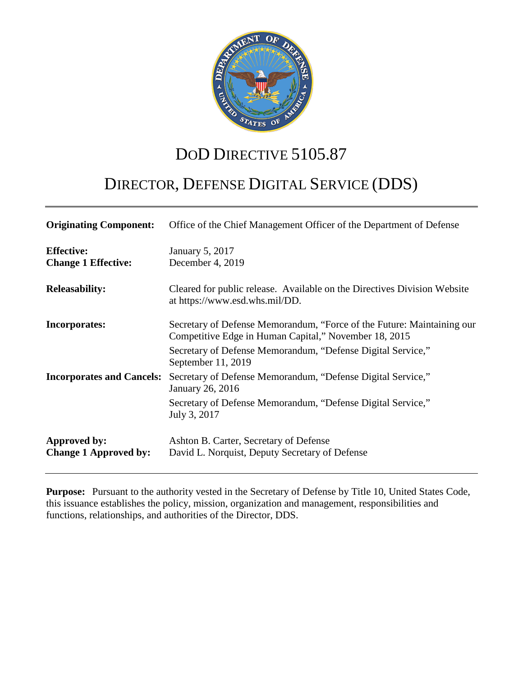

## DOD DIRECTIVE 5105.87

# DIRECTOR, DEFENSE DIGITAL SERVICE (DDS)

| <b>Originating Component:</b>                   | Office of the Chief Management Officer of the Department of Defense                                                                                                                            |
|-------------------------------------------------|------------------------------------------------------------------------------------------------------------------------------------------------------------------------------------------------|
| <b>Effective:</b><br><b>Change 1 Effective:</b> | January 5, 2017<br>December 4, 2019                                                                                                                                                            |
| <b>Releasability:</b>                           | Cleared for public release. Available on the Directives Division Website<br>at https://www.esd.whs.mil/DD.                                                                                     |
| <b>Incorporates:</b>                            | Secretary of Defense Memorandum, "Force of the Future: Maintaining our<br>Competitive Edge in Human Capital," November 18, 2015<br>Secretary of Defense Memorandum, "Defense Digital Service," |
| <b>Incorporates and Cancels:</b>                | September 11, 2019<br>Secretary of Defense Memorandum, "Defense Digital Service,"<br>January 26, 2016<br>Secretary of Defense Memorandum, "Defense Digital Service,"                           |
| Approved by:<br><b>Change 1 Approved by:</b>    | July 3, 2017<br>Ashton B. Carter, Secretary of Defense<br>David L. Norquist, Deputy Secretary of Defense                                                                                       |

**Purpose:** Pursuant to the authority vested in the Secretary of Defense by Title 10, United States Code, this issuance establishes the policy, mission, organization and management, responsibilities and functions, relationships, and authorities of the Director, DDS.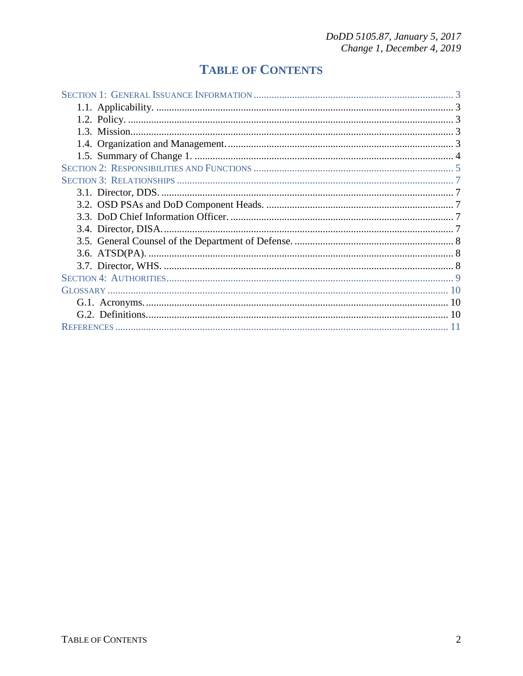## **TABLE OF CONTENTS**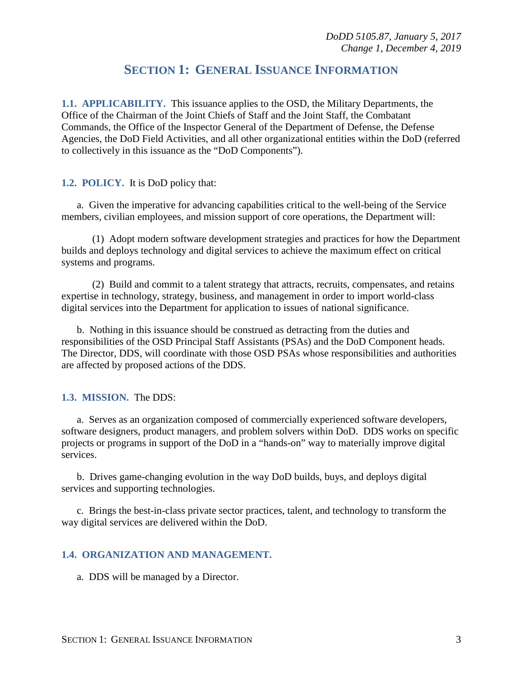## **SECTION 1: GENERAL ISSUANCE INFORMATION**

<span id="page-2-1"></span><span id="page-2-0"></span>**1.1. APPLICABILITY.** This issuance applies to the OSD, the Military Departments, the Office of the Chairman of the Joint Chiefs of Staff and the Joint Staff, the Combatant Commands, the Office of the Inspector General of the Department of Defense, the Defense Agencies, the DoD Field Activities, and all other organizational entities within the DoD (referred to collectively in this issuance as the "DoD Components").

#### <span id="page-2-2"></span>**1.2. POLICY.** It is DoD policy that:

a. Given the imperative for advancing capabilities critical to the well-being of the Service members, civilian employees, and mission support of core operations, the Department will:

(1) Adopt modern software development strategies and practices for how the Department builds and deploys technology and digital services to achieve the maximum effect on critical systems and programs.

(2) Build and commit to a talent strategy that attracts, recruits, compensates, and retains expertise in technology, strategy, business, and management in order to import world-class digital services into the Department for application to issues of national significance.

b. Nothing in this issuance should be construed as detracting from the duties and responsibilities of the OSD Principal Staff Assistants (PSAs) and the DoD Component heads. The Director, DDS, will coordinate with those OSD PSAs whose responsibilities and authorities are affected by proposed actions of the DDS.

#### <span id="page-2-3"></span>**1.3. MISSION.** The DDS:

a. Serves as an organization composed of commercially experienced software developers, software designers, product managers*,* and problem solvers within DoD. DDS works on specific projects or programs in support of the DoD in a "hands-on" way to materially improve digital services.

b. Drives game-changing evolution in the way DoD builds, buys, and deploys digital services and supporting technologies.

c. Brings the best-in-class private sector practices, talent, and technology to transform the way digital services are delivered within the DoD.

#### <span id="page-2-4"></span>**1.4. ORGANIZATION AND MANAGEMENT.**

a. DDS will be managed by a Director.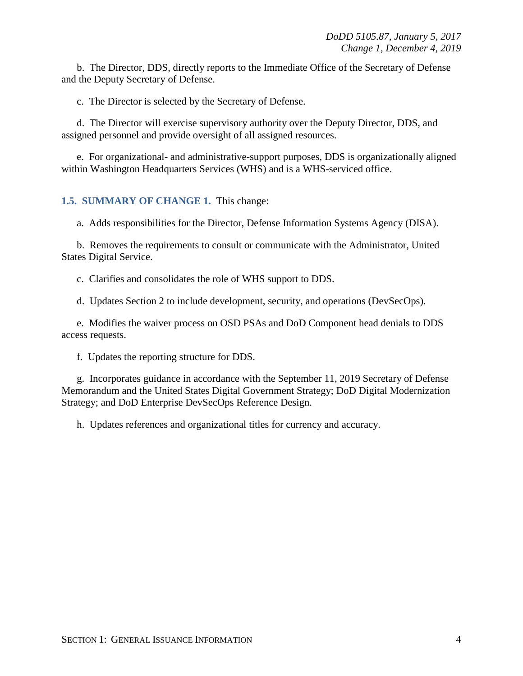b. The Director, DDS, directly reports to the Immediate Office of the Secretary of Defense and the Deputy Secretary of Defense.

c. The Director is selected by the Secretary of Defense.

d. The Director will exercise supervisory authority over the Deputy Director, DDS, and assigned personnel and provide oversight of all assigned resources.

e. For organizational- and administrative-support purposes, DDS is organizationally aligned within Washington Headquarters Services (WHS) and is a WHS-serviced office.

#### <span id="page-3-0"></span>**1.5. SUMMARY OF CHANGE 1.** This change:

a. Adds responsibilities for the Director, Defense Information Systems Agency (DISA).

b. Removes the requirements to consult or communicate with the Administrator, United States Digital Service.

c. Clarifies and consolidates the role of WHS support to DDS.

d. Updates Section 2 to include development, security, and operations (DevSecOps).

e. Modifies the waiver process on OSD PSAs and DoD Component head denials to DDS access requests.

f. Updates the reporting structure for DDS.

g. Incorporates guidance in accordance with the September 11, 2019 Secretary of Defense Memorandum and the United States Digital Government Strategy; DoD Digital Modernization Strategy; and DoD Enterprise DevSecOps Reference Design.

h. Updates references and organizational titles for currency and accuracy.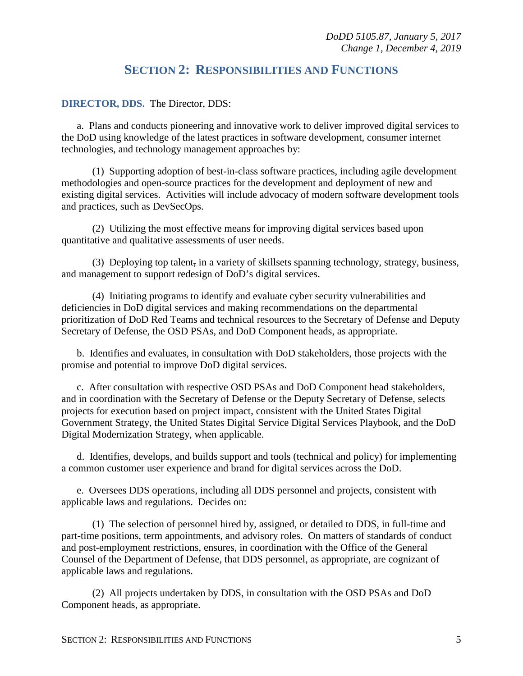## **SECTION 2: RESPONSIBILITIES AND FUNCTIONS**

<span id="page-4-0"></span>**DIRECTOR, DDS.** The Director, DDS:

a. Plans and conducts pioneering and innovative work to deliver improved digital services to the DoD using knowledge of the latest practices in software development, consumer internet technologies, and technology management approaches by:

(1) Supporting adoption of best-in-class software practices, including agile development methodologies and open-source practices for the development and deployment of new and existing digital services. Activities will include advocacy of modern software development tools and practices, such as DevSecOps.

(2) Utilizing the most effective means for improving digital services based upon quantitative and qualitative assessments of user needs.

(3) Deploying top talent, in a variety of skillsets spanning technology, strategy, business, and management to support redesign of DoD's digital services.

(4) Initiating programs to identify and evaluate cyber security vulnerabilities and deficiencies in DoD digital services and making recommendations on the departmental prioritization of DoD Red Teams and technical resources to the Secretary of Defense and Deputy Secretary of Defense, the OSD PSAs, and DoD Component heads, as appropriate.

b. Identifies and evaluates, in consultation with DoD stakeholders, those projects with the promise and potential to improve DoD digital services.

c. After consultation with respective OSD PSAs and DoD Component head stakeholders, and in coordination with the Secretary of Defense or the Deputy Secretary of Defense, selects projects for execution based on project impact, consistent with the United States Digital Government Strategy, the United States Digital Service Digital Services Playbook, and the DoD Digital Modernization Strategy, when applicable.

d. Identifies, develops, and builds support and tools (technical and policy) for implementing a common customer user experience and brand for digital services across the DoD.

e. Oversees DDS operations, including all DDS personnel and projects, consistent with applicable laws and regulations. Decides on:

(1) The selection of personnel hired by, assigned, or detailed to DDS, in full-time and part-time positions, term appointments, and advisory roles. On matters of standards of conduct and post-employment restrictions, ensures, in coordination with the Office of the General Counsel of the Department of Defense, that DDS personnel, as appropriate, are cognizant of applicable laws and regulations.

(2) All projects undertaken by DDS, in consultation with the OSD PSAs and DoD Component heads, as appropriate.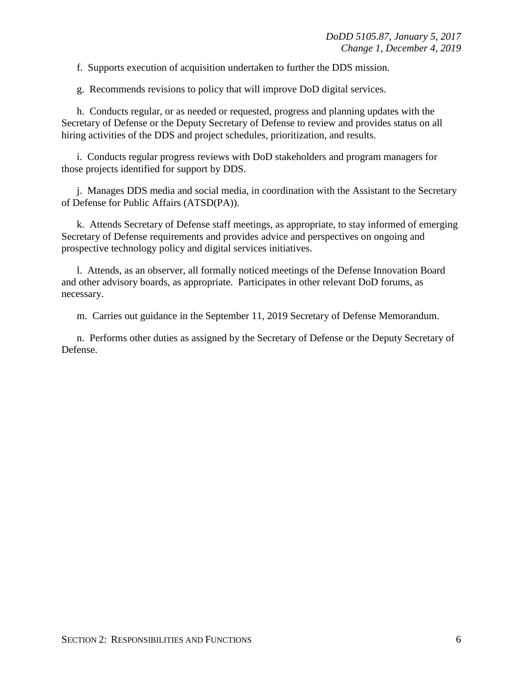f. Supports execution of acquisition undertaken to further the DDS mission.

g. Recommends revisions to policy that will improve DoD digital services.

h. Conducts regular, or as needed or requested, progress and planning updates with the Secretary of Defense or the Deputy Secretary of Defense to review and provides status on all hiring activities of the DDS and project schedules, prioritization, and results.

i. Conducts regular progress reviews with DoD stakeholders and program managers for those projects identified for support by DDS.

j. Manages DDS media and social media, in coordination with the Assistant to the Secretary of Defense for Public Affairs (ATSD(PA)).

k. Attends Secretary of Defense staff meetings, as appropriate, to stay informed of emerging Secretary of Defense requirements and provides advice and perspectives on ongoing and prospective technology policy and digital services initiatives.

l. Attends, as an observer, all formally noticed meetings of the Defense Innovation Board and other advisory boards, as appropriate. Participates in other relevant DoD forums, as necessary.

m. Carries out guidance in the September 11, 2019 Secretary of Defense Memorandum.

n. Performs other duties as assigned by the Secretary of Defense or the Deputy Secretary of Defense.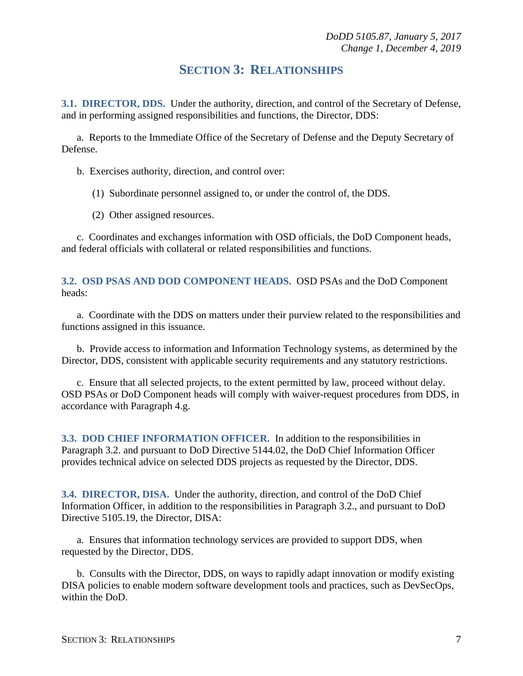### **SECTION 3: RELATIONSHIPS**

<span id="page-6-1"></span><span id="page-6-0"></span>**3.1. DIRECTOR, DDS.** Under the authority, direction, and control of the Secretary of Defense, and in performing assigned responsibilities and functions, the Director, DDS:

a. Reports to the Immediate Office of the Secretary of Defense and the Deputy Secretary of Defense.

b. Exercises authority, direction, and control over:

(1) Subordinate personnel assigned to, or under the control of, the DDS.

(2) Other assigned resources.

c. Coordinates and exchanges information with OSD officials, the DoD Component heads, and federal officials with collateral or related responsibilities and functions.

<span id="page-6-2"></span>**3.2. OSD PSAS AND DOD COMPONENT HEADS.** OSD PSAs and the DoD Component heads:

a. Coordinate with the DDS on matters under their purview related to the responsibilities and functions assigned in this issuance.

b. Provide access to information and Information Technology systems, as determined by the Director, DDS, consistent with applicable security requirements and any statutory restrictions.

c. Ensure that all selected projects, to the extent permitted by law, proceed without delay. OSD PSAs or DoD Component heads will comply with waiver-request procedures from DDS, in accordance with Paragraph 4.g.

<span id="page-6-3"></span>**3.3. DOD CHIEF INFORMATION OFFICER.** In addition to the responsibilities in Paragraph 3.2. and pursuant to DoD Directive 5144.02, the DoD Chief Information Officer provides technical advice on selected DDS projects as requested by the Director, DDS.

<span id="page-6-4"></span>**3.4. DIRECTOR, DISA.** Under the authority, direction, and control of the DoD Chief Information Officer, in addition to the responsibilities in Paragraph 3.2., and pursuant to DoD Directive 5105.19, the Director, DISA:

a. Ensures that information technology services are provided to support DDS, when requested by the Director, DDS.

b. Consults with the Director, DDS, on ways to rapidly adapt innovation or modify existing DISA policies to enable modern software development tools and practices, such as DevSecOps, within the DoD.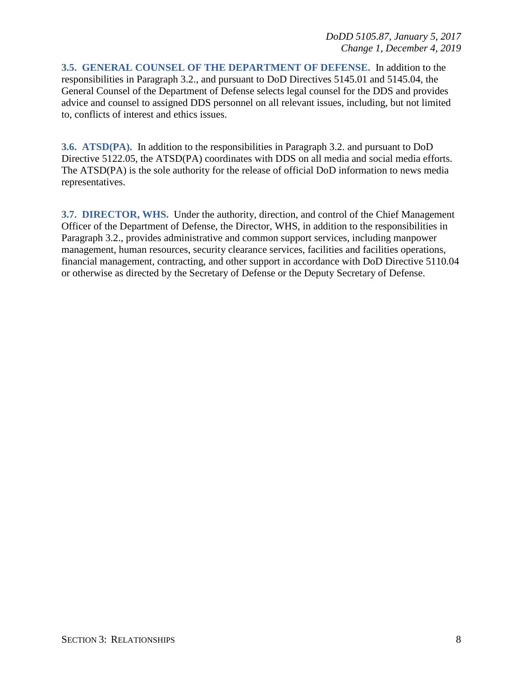<span id="page-7-0"></span>**3.5. GENERAL COUNSEL OF THE DEPARTMENT OF DEFENSE.** In addition to the responsibilities in Paragraph 3.2., and pursuant to DoD Directives 5145.01 and 5145.04, the General Counsel of the Department of Defense selects legal counsel for the DDS and provides advice and counsel to assigned DDS personnel on all relevant issues, including, but not limited to, conflicts of interest and ethics issues.

<span id="page-7-1"></span>**3.6. ATSD(PA).** In addition to the responsibilities in Paragraph 3.2. and pursuant to DoD Directive 5122.05, the ATSD(PA) coordinates with DDS on all media and social media efforts. The ATSD(PA) is the sole authority for the release of official DoD information to news media representatives.

<span id="page-7-2"></span>**3.7. DIRECTOR, WHS.** Under the authority, direction, and control of the Chief Management Officer of the Department of Defense, the Director, WHS, in addition to the responsibilities in Paragraph 3.2., provides administrative and common support services, including manpower management, human resources, security clearance services, facilities and facilities operations, financial management, contracting, and other support in accordance with DoD Directive 5110.04 or otherwise as directed by the Secretary of Defense or the Deputy Secretary of Defense.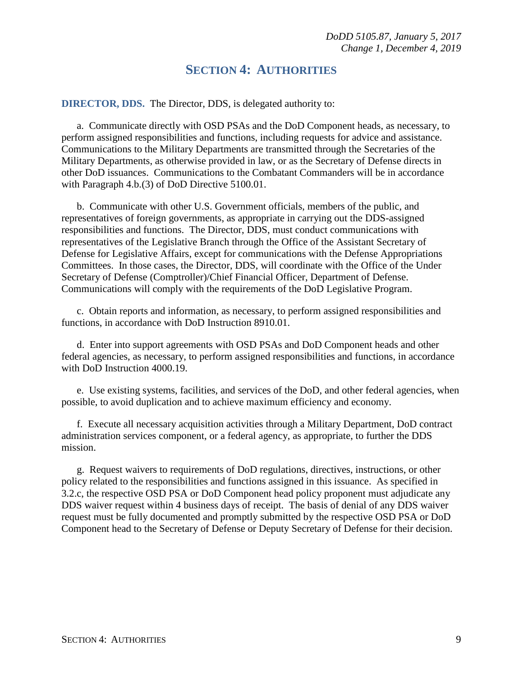#### **SECTION 4: AUTHORITIES**

<span id="page-8-0"></span>**DIRECTOR, DDS.** The Director, DDS, is delegated authority to:

a. Communicate directly with OSD PSAs and the DoD Component heads, as necessary, to perform assigned responsibilities and functions, including requests for advice and assistance. Communications to the Military Departments are transmitted through the Secretaries of the Military Departments, as otherwise provided in law, or as the Secretary of Defense directs in other DoD issuances. Communications to the Combatant Commanders will be in accordance with Paragraph 4.b.(3) of DoD Directive 5100.01.

b. Communicate with other U.S. Government officials, members of the public, and representatives of foreign governments, as appropriate in carrying out the DDS-assigned responsibilities and functions. The Director, DDS, must conduct communications with representatives of the Legislative Branch through the Office of the Assistant Secretary of Defense for Legislative Affairs, except for communications with the Defense Appropriations Committees. In those cases, the Director, DDS, will coordinate with the Office of the Under Secretary of Defense (Comptroller)/Chief Financial Officer, Department of Defense. Communications will comply with the requirements of the DoD Legislative Program.

c. Obtain reports and information, as necessary, to perform assigned responsibilities and functions, in accordance with DoD Instruction 8910.01.

d. Enter into support agreements with OSD PSAs and DoD Component heads and other federal agencies, as necessary, to perform assigned responsibilities and functions, in accordance with DoD Instruction 4000.19.

e. Use existing systems, facilities, and services of the DoD, and other federal agencies, when possible, to avoid duplication and to achieve maximum efficiency and economy.

f. Execute all necessary acquisition activities through a Military Department, DoD contract administration services component, or a federal agency, as appropriate, to further the DDS mission.

g. Request waivers to requirements of DoD regulations, directives, instructions, or other policy related to the responsibilities and functions assigned in this issuance. As specified in 3.2.c, the respective OSD PSA or DoD Component head policy proponent must adjudicate any DDS waiver request within 4 business days of receipt. The basis of denial of any DDS waiver request must be fully documented and promptly submitted by the respective OSD PSA or DoD Component head to the Secretary of Defense or Deputy Secretary of Defense for their decision.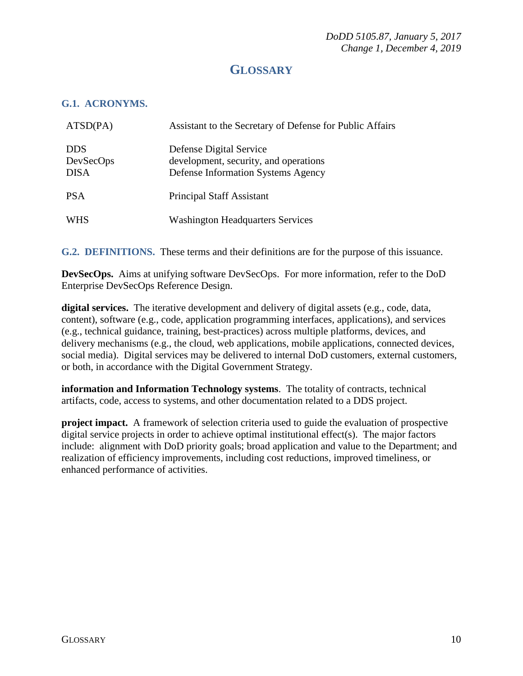## **GLOSSARY**

#### <span id="page-9-1"></span><span id="page-9-0"></span>**G.1. ACRONYMS.**

| ATSD(PA)                               | Assistant to the Secretary of Defense for Public Affairs                                               |
|----------------------------------------|--------------------------------------------------------------------------------------------------------|
| <b>DDS</b><br>DevSecOps<br><b>DISA</b> | Defense Digital Service<br>development, security, and operations<br>Defense Information Systems Agency |
| <b>PSA</b>                             | <b>Principal Staff Assistant</b>                                                                       |
| WHS                                    | <b>Washington Headquarters Services</b>                                                                |

<span id="page-9-2"></span>**G.2. DEFINITIONS.** These terms and their definitions are for the purpose of this issuance.

**DevSecOps.** Aims at unifying software DevSecOps. For more information, refer to the DoD Enterprise DevSecOps Reference Design.

**digital services.** The iterative development and delivery of digital assets (e.g., code, data, content), software (e.g., code, application programming interfaces, applications), and services (e.g., technical guidance, training, best-practices) across multiple platforms, devices, and delivery mechanisms (e.g., the cloud, web applications, mobile applications, connected devices, social media). Digital services may be delivered to internal DoD customers, external customers, or both, in accordance with the Digital Government Strategy.

**information and Information Technology systems**. The totality of contracts, technical artifacts, code, access to systems, and other documentation related to a DDS project.

**project impact.** A framework of selection criteria used to guide the evaluation of prospective digital service projects in order to achieve optimal institutional effect(s). The major factors include: alignment with DoD priority goals; broad application and value to the Department; and realization of efficiency improvements, including cost reductions, improved timeliness, or enhanced performance of activities.